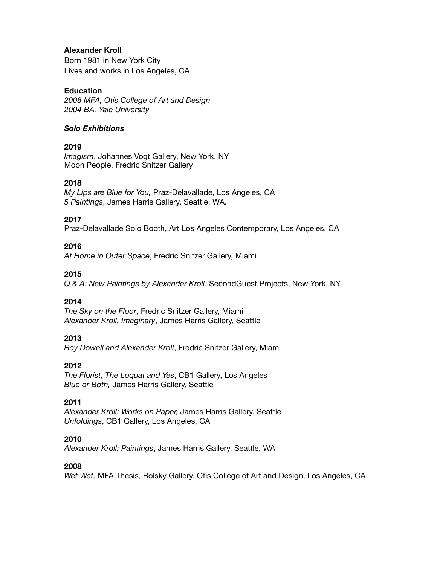#### **Alexander Kroll**

Born 1981 in New York City Lives and works in Los Angeles, CA

## **Education**

*2008 MFA, Otis College of Art and Design 2004 BA, Yale University* 

#### *Solo Exhibitions*

## **2019**

*Imagism*, Johannes Vogt Gallery, New York, NY Moon People, Fredric Snitzer Gallery

## **2018**

*My Lips are Blue for You,* Praz-Delavallade, Los Angeles, CA *5 Paintings*, James Harris Gallery, Seattle, WA.

## **2017**

Praz-Delavallade Solo Booth, Art Los Angeles Contemporary, Los Angeles, CA

## **2016**

*At Home in Outer Space*, Fredric Snitzer Gallery, Miami

## **2015**

*Q & A: New Paintings by Alexander Kroll*, SecondGuest Projects, New York, NY

#### **2014**

*The Sky on the Floor*, Fredric Snitzer Gallery, Miami *Alexander Kroll, Imaginary*, James Harris Gallery, Seattle

## **2013**

*Roy Dowell and Alexander Kroll*, Fredric Snitzer Gallery, Miami

#### **2012**

*The Florist, The Loquat and Yes*, CB1 Gallery, Los Angeles *Blue or Both,* James Harris Gallery, Seattle

# **2011**

*Alexander Kroll: Works on Paper,* James Harris Gallery, Seattle *Unfoldings*, CB1 Gallery, Los Angeles, CA

#### **2010**

*Alexander Kroll: Paintings*, James Harris Gallery, Seattle, WA

#### **2008**

*Wet Wet,* MFA Thesis, Bolsky Gallery, Otis College of Art and Design, Los Angeles, CA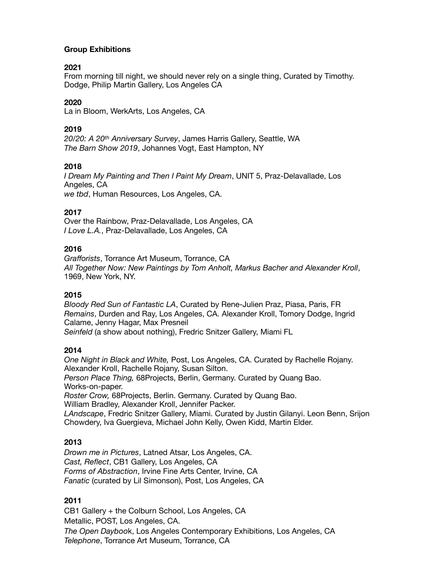## **Group Exhibitions**

## **2021**

From morning till night, we should never rely on a single thing, Curated by Timothy. Dodge, Philip Martin Gallery, Los Angeles CA

#### **2020**

La in Bloom, WerkArts, Los Angeles, CA

## **2019**

*20/20: A 20th Anniversary Survey*, James Harris Gallery, Seattle, WA *The Barn Show 2019*, Johannes Vogt, East Hampton, NY

## **2018**

*I Dream My Painting and Then I Paint My Dream*, UNIT 5, Praz-Delavallade, Los Angeles, CA *we tbd*, Human Resources, Los Angeles, CA.

## **2017**

Over the Rainbow, Praz-Delavallade, Los Angeles, CA *I Love L.A.*, Praz-Delavallade, Los Angeles, CA

## **2016**

*Grafforists*, Torrance Art Museum, Torrance, CA *All Together Now: New Paintings by Tom Anholt, Markus Bacher and Alexander Kroll*, 1969, New York, NY.

#### **2015**

*Bloody Red Sun of Fantastic LA*, Curated by Rene-Julien Praz, Piasa, Paris, FR *Remains*, Durden and Ray, Los Angeles, CA. Alexander Kroll, Tomory Dodge, Ingrid Calame, Jenny Hagar, Max Presneil *Seinfeld* (a show about nothing), Fredric Snitzer Gallery, Miami FL

#### **2014**

*One Night in Black and White,* Post, Los Angeles, CA. Curated by Rachelle Rojany. Alexander Kroll, Rachelle Rojany, Susan Silton. *Person Place Thing,* 68Projects, Berlin, Germany. Curated by Quang Bao. Works-on-paper. *Roster Crow,* 68Projects, Berlin. Germany. Curated by Quang Bao. William Bradley, Alexander Kroll, Jennifer Packer. *LAndscape*, Fredric Snitzer Gallery, Miami. Curated by Justin Gilanyi. Leon Benn, Srijon Chowdery, Iva Guergieva, Michael John Kelly, Owen Kidd, Martin Elder.

#### **2013**

*Drown me in Pictures*, Latned Atsar, Los Angeles, CA. *Cast, Reflect*, CB1 Gallery, Los Angeles, CA *Forms of Abstraction*, Irvine Fine Arts Center, Irvine, CA *Fanatic* (curated by Lil Simonson), Post, Los Angeles, CA

# **2011**

CB1 Gallery + the Colburn School, Los Angeles, CA Metallic, POST, Los Angeles, CA. *The Open Dayboo*k, Los Angeles Contemporary Exhibitions, Los Angeles, CA *Telephone*, Torrance Art Museum, Torrance, CA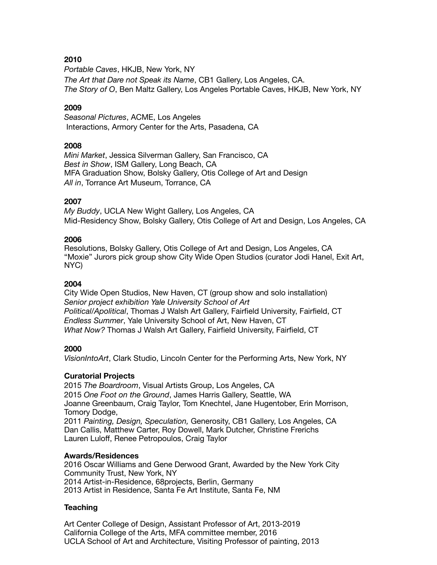# **2010**

*Portable Caves*, HKJB, New York, NY *The Art that Dare not Speak its Name*, CB1 Gallery, Los Angeles, CA. *The Story of O*, Ben Maltz Gallery, Los Angeles Portable Caves, HKJB, New York, NY

## **2009**

*Seasonal Pictures*, ACME, Los Angeles Interactions, Armory Center for the Arts, Pasadena, CA

## **2008**

*Mini Market*, Jessica Silverman Gallery, San Francisco, CA *Best in Show*, ISM Gallery, Long Beach, CA MFA Graduation Show, Bolsky Gallery, Otis College of Art and Design *All in*, Torrance Art Museum, Torrance, CA

## **2007**

*My Buddy*, UCLA New Wight Gallery, Los Angeles, CA Mid-Residency Show, Bolsky Gallery, Otis College of Art and Design, Los Angeles, CA

## **2006**

Resolutions, Bolsky Gallery, Otis College of Art and Design, Los Angeles, CA "Moxie" Jurors pick group show City Wide Open Studios (curator Jodi Hanel, Exit Art, NYC)

#### **2004**

City Wide Open Studios, New Haven, CT (group show and solo installation) *Senior project exhibition Yale University School of Art Political/Apolitical*, Thomas J Walsh Art Gallery, Fairfield University, Fairfield, CT *Endless Summer*, Yale University School of Art, New Haven, CT *What Now?* Thomas J Walsh Art Gallery, Fairfield University, Fairfield, CT

# **2000**

*VisionIntoArt*, Clark Studio, Lincoln Center for the Performing Arts, New York, NY

#### **Curatorial Projects**

2015 *The Boardroom*, Visual Artists Group, Los Angeles, CA 2015 *One Foot on the Ground*, James Harris Gallery, Seattle, WA Joanne Greenbaum, Craig Taylor, Tom Knechtel, Jane Hugentober, Erin Morrison, Tomory Dodge,

2011 *Painting, Design, Speculation,* Generosity, CB1 Gallery, Los Angeles, CA Dan Callis, Matthew Carter, Roy Dowell, Mark Dutcher, Christine Frerichs Lauren Luloff, Renee Petropoulos, Craig Taylor

#### **Awards/Residences**

2016 Oscar Williams and Gene Derwood Grant, Awarded by the New York City Community Trust, New York, NY 2014 Artist-in-Residence, 68projects, Berlin, Germany 2013 Artist in Residence, Santa Fe Art Institute, Santa Fe, NM

#### **Teaching**

Art Center College of Design, Assistant Professor of Art, 2013-2019 California College of the Arts, MFA committee member, 2016 UCLA School of Art and Architecture, Visiting Professor of painting, 2013